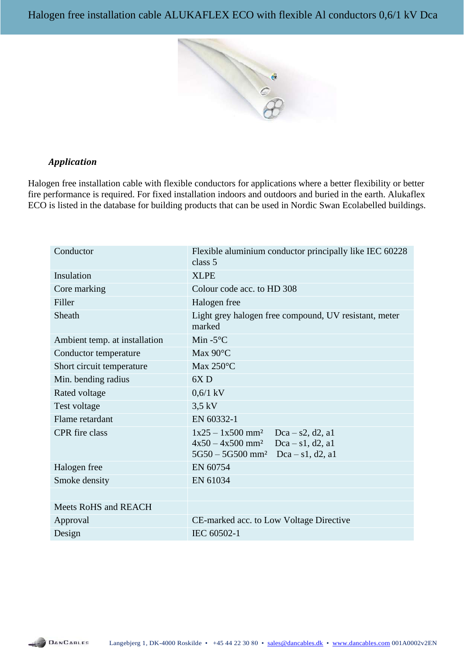

## *Application*

Halogen free installation cable with flexible conductors for applications where a better flexibility or better fire performance is required. For fixed installation indoors and outdoors and buried in the earth. Alukaflex ECO is listed in the database for building products that can be used in Nordic Swan Ecolabelled buildings.

| Conductor                     | Flexible aluminium conductor principally like IEC 60228<br>class 5                                                                                             |  |  |  |
|-------------------------------|----------------------------------------------------------------------------------------------------------------------------------------------------------------|--|--|--|
| Insulation                    | <b>XLPE</b>                                                                                                                                                    |  |  |  |
| Core marking                  | Colour code acc. to HD 308                                                                                                                                     |  |  |  |
| Filler                        | Halogen free                                                                                                                                                   |  |  |  |
| Sheath                        | Light grey halogen free compound, UV resistant, meter<br>marked                                                                                                |  |  |  |
| Ambient temp. at installation | Min $-5^{\circ}$ C                                                                                                                                             |  |  |  |
| Conductor temperature         | Max $90^{\circ}$ C                                                                                                                                             |  |  |  |
| Short circuit temperature     | Max $250^{\circ}$ C                                                                                                                                            |  |  |  |
| Min. bending radius           | 6XD                                                                                                                                                            |  |  |  |
| Rated voltage                 | $0,6/1$ kV                                                                                                                                                     |  |  |  |
| Test voltage                  | $3.5$ kV                                                                                                                                                       |  |  |  |
| Flame retardant               | EN 60332-1                                                                                                                                                     |  |  |  |
| <b>CPR</b> fire class         | $1x25 - 1x500$ mm <sup>2</sup><br>Dca – s2, d2, a1<br>$4x50 - 4x500$ mm <sup>2</sup><br>$Dca - s1$ , d2, a1<br>$5G50 - 5G500$ mm <sup>2</sup> Dca - s1, d2, a1 |  |  |  |
| Halogen free                  | EN 60754                                                                                                                                                       |  |  |  |
| Smoke density                 | EN 61034                                                                                                                                                       |  |  |  |
|                               |                                                                                                                                                                |  |  |  |
| Meets RoHS and REACH          |                                                                                                                                                                |  |  |  |
| Approval                      | CE-marked acc. to Low Voltage Directive                                                                                                                        |  |  |  |
| Design                        | IEC 60502-1                                                                                                                                                    |  |  |  |

DANCABLES